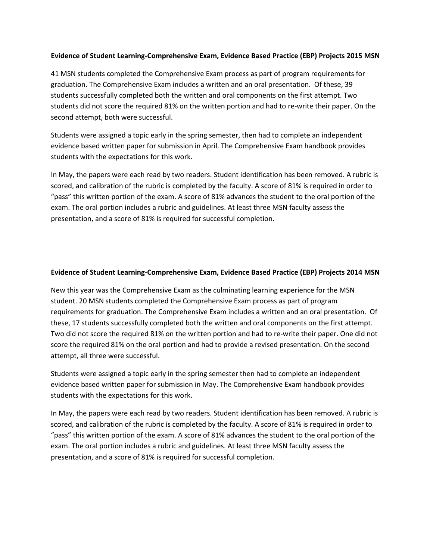## **Evidence of Student Learning-Comprehensive Exam, Evidence Based Practice (EBP) Projects 2015 MSN**

41 MSN students completed the Comprehensive Exam process as part of program requirements for graduation. The Comprehensive Exam includes a written and an oral presentation. Of these, 39 students successfully completed both the written and oral components on the first attempt. Two students did not score the required 81% on the written portion and had to re-write their paper. On the second attempt, both were successful.

Students were assigned a topic early in the spring semester, then had to complete an independent evidence based written paper for submission in April. The Comprehensive Exam handbook provides students with the expectations for this work.

In May, the papers were each read by two readers. Student identification has been removed. A rubric is scored, and calibration of the rubric is completed by the faculty. A score of 81% is required in order to "pass" this written portion of the exam. A score of 81% advances the student to the oral portion of the exam. The oral portion includes a rubric and guidelines. At least three MSN faculty assess the presentation, and a score of 81% is required for successful completion.

## **Evidence of Student Learning-Comprehensive Exam, Evidence Based Practice (EBP) Projects 2014 MSN**

New this year was the Comprehensive Exam as the culminating learning experience for the MSN student. 20 MSN students completed the Comprehensive Exam process as part of program requirements for graduation. The Comprehensive Exam includes a written and an oral presentation. Of these, 17 students successfully completed both the written and oral components on the first attempt. Two did not score the required 81% on the written portion and had to re-write their paper. One did not score the required 81% on the oral portion and had to provide a revised presentation. On the second attempt, all three were successful.

Students were assigned a topic early in the spring semester then had to complete an independent evidence based written paper for submission in May. The Comprehensive Exam handbook provides students with the expectations for this work.

In May, the papers were each read by two readers. Student identification has been removed. A rubric is scored, and calibration of the rubric is completed by the faculty. A score of 81% is required in order to "pass" this written portion of the exam. A score of 81% advances the student to the oral portion of the exam. The oral portion includes a rubric and guidelines. At least three MSN faculty assess the presentation, and a score of 81% is required for successful completion.